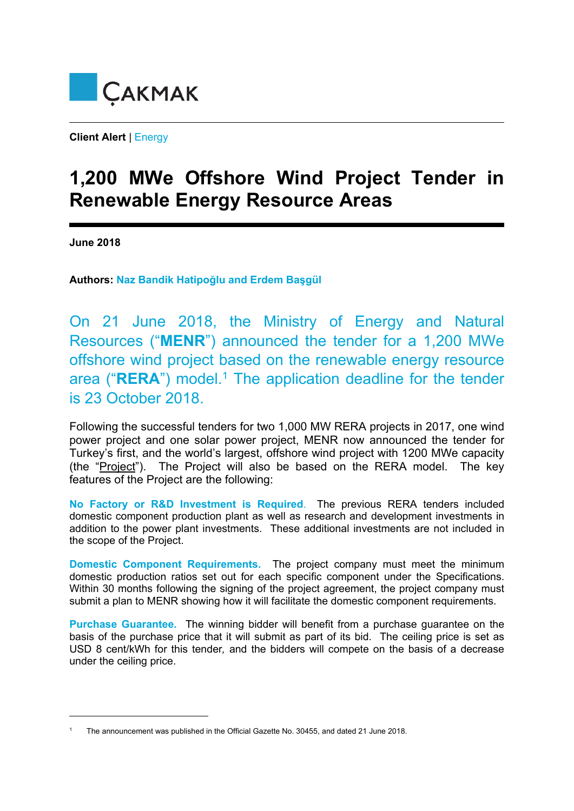

**Client Alert** | Energy

## **1,200 MWe Offshore Wind Project Tender in Renewable Energy Resource Areas**

**June 2018** 

1

**Authors: Naz Bandik Hatipoğlu and Erdem Başgül**

On 21 June 2018, the Ministry of Energy and Natural Resources ("**MENR**") announced the tender for a 1,200 MWe offshore wind project based on the renewable energy resource area ("RERA") model.<sup>1</sup> The application deadline for the tender is 23 October 2018.

Following the successful tenders for two 1,000 MW RERA projects in 2017, one wind power project and one solar power project, MENR now announced the tender for Turkey's first, and the world's largest, offshore wind project with 1200 MWe capacity (the "Project"). The Project will also be based on the RERA model. The key features of the Project are the following:

**No Factory or R&D Investment is Required**.The previous RERA tenders included domestic component production plant as well as research and development investments in addition to the power plant investments. These additional investments are not included in the scope of the Project.

**Domestic Component Requirements.** The project company must meet the minimum domestic production ratios set out for each specific component under the Specifications. Within 30 months following the signing of the project agreement, the project company must submit a plan to MENR showing how it will facilitate the domestic component requirements.

**Purchase Guarantee.**The winning bidder will benefit from a purchase guarantee on the basis of the purchase price that it will submit as part of its bid.The ceiling price is set as USD 8 cent/kWh for this tender*,* and the bidders will compete on the basis of a decrease under the ceiling price.

<sup>1</sup> The announcement was published in the Official Gazette No. 30455, and dated 21 June 2018.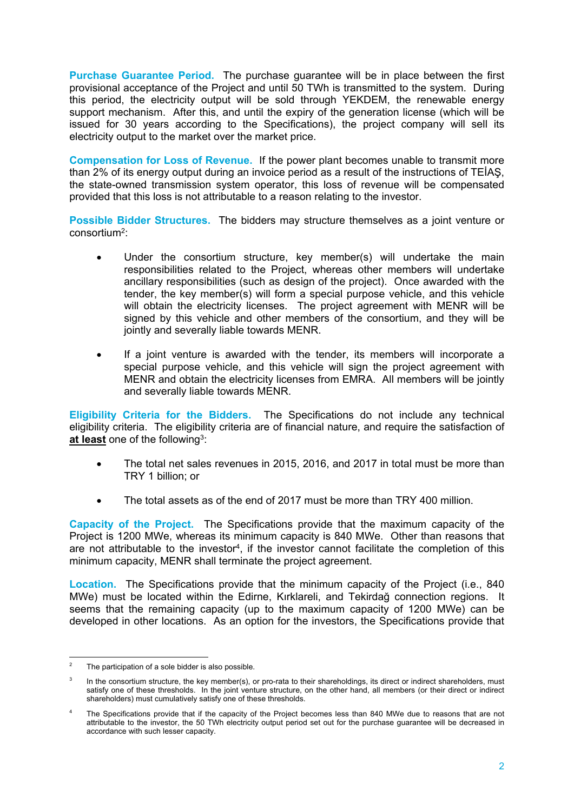**Purchase Guarantee Period.** The purchase guarantee will be in place between the first provisional acceptance of the Project and until 50 TWh is transmitted to the system. During this period, the electricity output will be sold through YEKDEM, the renewable energy support mechanism. After this, and until the expiry of the generation license (which will be issued for 30 years according to the Specifications), the project company will sell its electricity output to the market over the market price.

**Compensation for Loss of Revenue.** If the power plant becomes unable to transmit more than 2% of its energy output during an invoice period as a result of the instructions of TEİAŞ, the state-owned transmission system operator, this loss of revenue will be compensated provided that this loss is not attributable to a reason relating to the investor.

**Possible Bidder Structures.** The bidders may structure themselves as a joint venture or consortium2:

- Under the consortium structure, key member(s) will undertake the main responsibilities related to the Project, whereas other members will undertake ancillary responsibilities (such as design of the project). Once awarded with the tender, the key member(s) will form a special purpose vehicle, and this vehicle will obtain the electricity licenses. The project agreement with MENR will be signed by this vehicle and other members of the consortium, and they will be jointly and severally liable towards MENR.
- If a joint venture is awarded with the tender, its members will incorporate a special purpose vehicle, and this vehicle will sign the project agreement with MENR and obtain the electricity licenses from EMRA. All members will be jointly and severally liable towards MENR.

**Eligibility Criteria for the Bidders.** The Specifications do not include any technical eligibility criteria. The eligibility criteria are of financial nature, and require the satisfaction of **at least** one of the following3:

- The total net sales revenues in 2015, 2016, and 2017 in total must be more than TRY 1 billion; or
- The total assets as of the end of 2017 must be more than TRY 400 million.

**Capacity of the Project.**The Specifications provide that the maximum capacity of the Project is 1200 MWe, whereas its minimum capacity is 840 MWe. Other than reasons that are not attributable to the investor<sup>4</sup>, if the investor cannot facilitate the completion of this minimum capacity, MENR shall terminate the project agreement.

**Location.**The Specifications provide that the minimum capacity of the Project (i.e., 840 MWe) must be located within the Edirne, Kırklareli, and Tekirdağ connection regions. It seems that the remaining capacity (up to the maximum capacity of 1200 MWe) can be developed in other locations. As an option for the investors, the Specifications provide that

 $\frac{1}{2}$ The participation of a sole bidder is also possible.

<sup>3</sup> In the consortium structure, the key member(s), or pro-rata to their shareholdings, its direct or indirect shareholders, must satisfy one of these thresholds. In the joint venture structure, on the other hand, all members (or their direct or indirect shareholders) must cumulatively satisfy one of these thresholds.

<sup>4</sup> The Specifications provide that if the capacity of the Project becomes less than 840 MWe due to reasons that are not attributable to the investor, the 50 TWh electricity output period set out for the purchase guarantee will be decreased in accordance with such lesser capacity.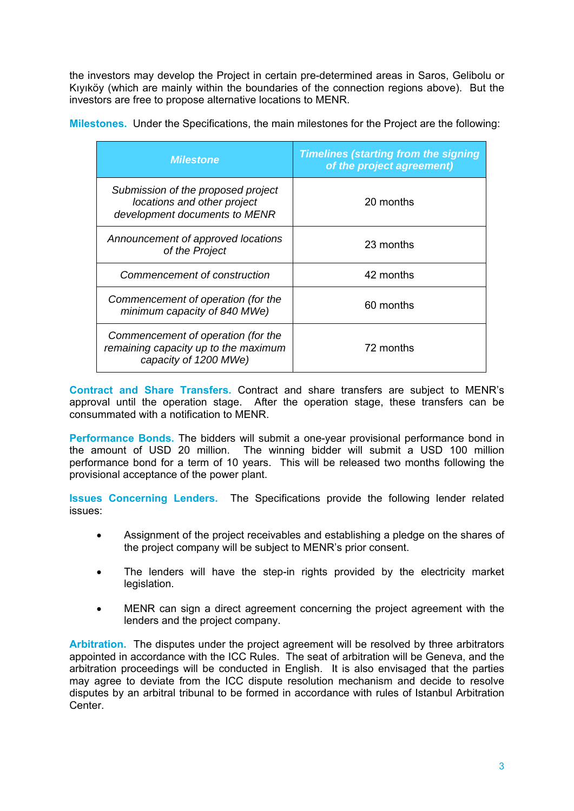the investors may develop the Project in certain pre-determined areas in Saros, Gelibolu or Kıyıköy (which are mainly within the boundaries of the connection regions above). But the investors are free to propose alternative locations to MENR.

**Milestones.** Under the Specifications, the main milestones for the Project are the following:

| <i><b>Milestone</b></i>                                                                             | <b>Timelines (starting from the signing</b><br>of the project agreement) |
|-----------------------------------------------------------------------------------------------------|--------------------------------------------------------------------------|
| Submission of the proposed project<br>locations and other project<br>development documents to MENR  | 20 months                                                                |
| Announcement of approved locations<br>of the Project                                                | 23 months                                                                |
| Commencement of construction                                                                        | 42 months                                                                |
| Commencement of operation (for the<br>minimum capacity of 840 MWe)                                  | 60 months                                                                |
| Commencement of operation (for the<br>remaining capacity up to the maximum<br>capacity of 1200 MWe) | 72 months                                                                |

**Contract and Share Transfers.** Contract and share transfers are subject to MENR's approval until the operation stage. After the operation stage, these transfers can be consummated with a notification to MENR.

**Performance Bonds.** The bidders will submit a one-year provisional performance bond in the amount of USD 20 million. The winning bidder will submit a USD 100 million performance bond for a term of 10 years. This will be released two months following the provisional acceptance of the power plant.

**Issues Concerning Lenders.** The Specifications provide the following lender related issues:

- Assignment of the project receivables and establishing a pledge on the shares of the project company will be subject to MENR's prior consent.
- The lenders will have the step-in rights provided by the electricity market legislation.
- MENR can sign a direct agreement concerning the project agreement with the lenders and the project company.

**Arbitration.** The disputes under the project agreement will be resolved by three arbitrators appointed in accordance with the ICC Rules. The seat of arbitration will be Geneva, and the arbitration proceedings will be conducted in English. It is also envisaged that the parties may agree to deviate from the ICC dispute resolution mechanism and decide to resolve disputes by an arbitral tribunal to be formed in accordance with rules of Istanbul Arbitration Center.